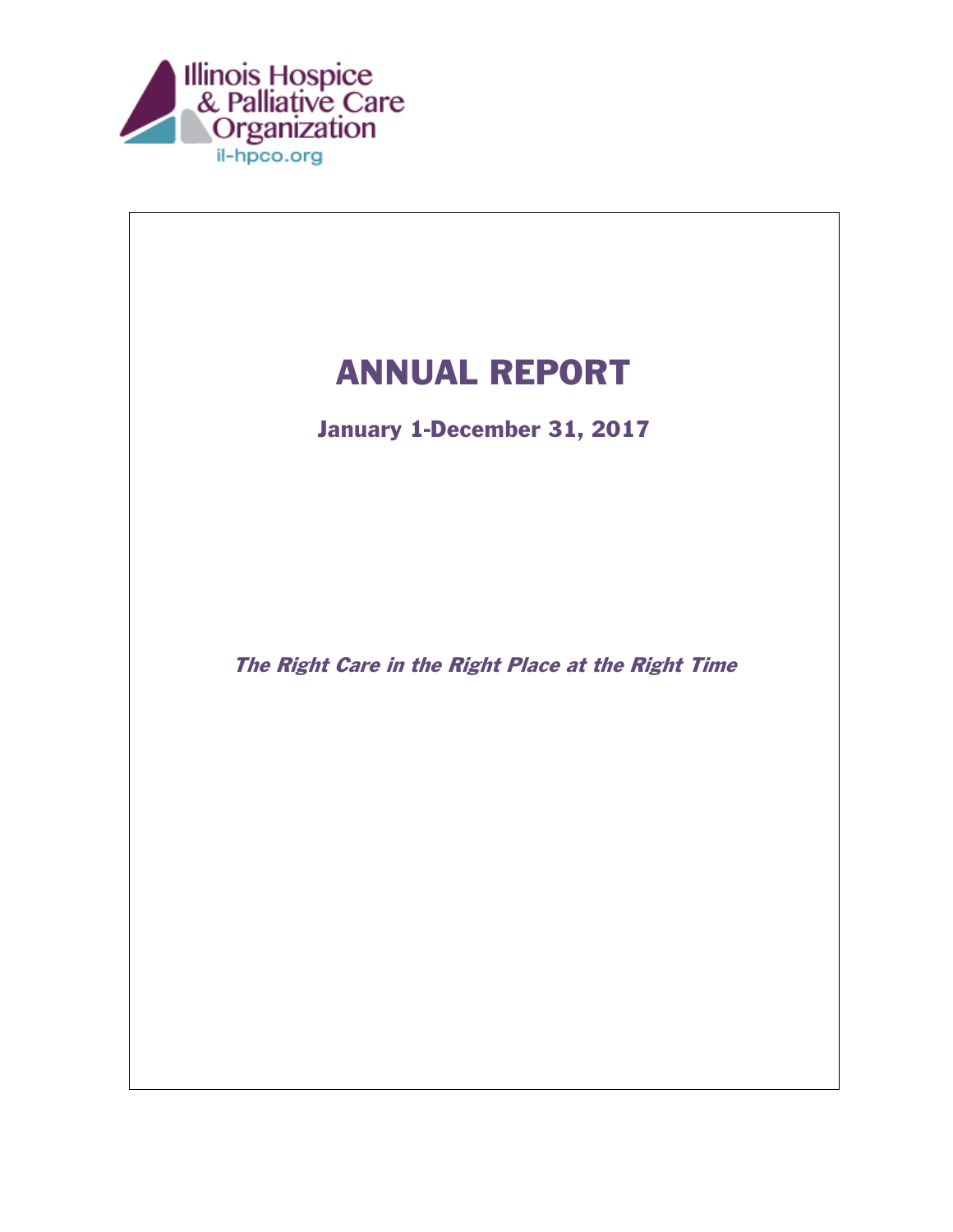



January 1-December 31, 2017

The Right Care in the Right Place at the Right Time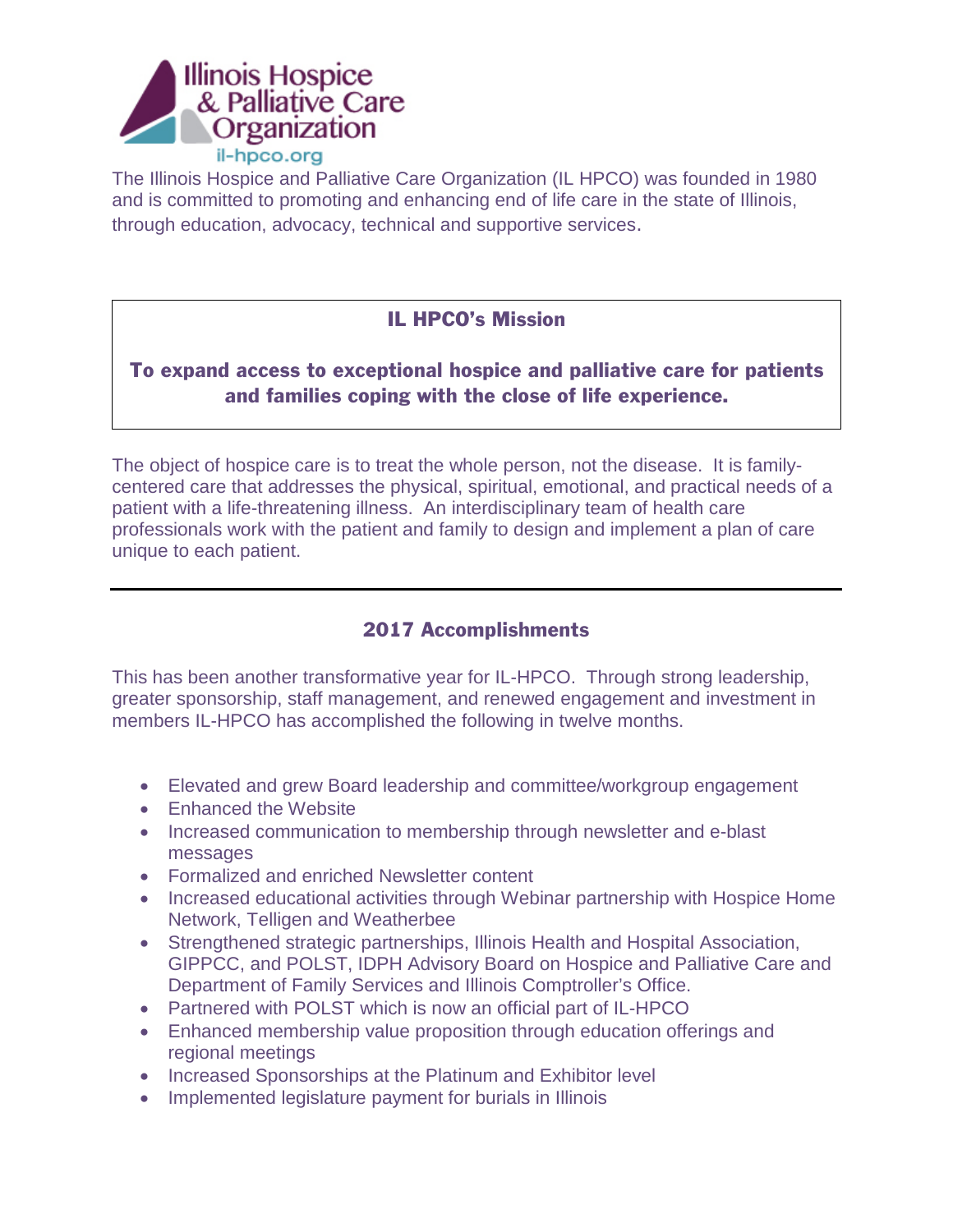

The Illinois Hospice and Palliative Care Organization (IL HPCO) was founded in 1980 and is committed to promoting and enhancing end of life care in the state of Illinois, through education, advocacy, technical and supportive services.

# IL HPCO's Mission

### To expand access to exceptional hospice and palliative care for patients and families coping with the close of life experience.

The object of hospice care is to treat the whole person, not the disease. It is familycentered care that addresses the physical, spiritual, emotional, and practical needs of a patient with a life-threatening illness. An interdisciplinary team of health care professionals work with the patient and family to design and implement a plan of care unique to each patient.

# 2017 Accomplishments

This has been another transformative year for IL-HPCO. Through strong leadership, greater sponsorship, staff management, and renewed engagement and investment in members IL-HPCO has accomplished the following in twelve months.

- Elevated and grew Board leadership and committee/workgroup engagement
- Enhanced the Website
- Increased communication to membership through newsletter and e-blast messages
- Formalized and enriched Newsletter content
- Increased educational activities through Webinar partnership with Hospice Home Network, Telligen and Weatherbee
- Strengthened strategic partnerships, Illinois Health and Hospital Association, GIPPCC, and POLST, IDPH Advisory Board on Hospice and Palliative Care and Department of Family Services and Illinois Comptroller's Office.
- Partnered with POLST which is now an official part of IL-HPCO
- Enhanced membership value proposition through education offerings and regional meetings
- Increased Sponsorships at the Platinum and Exhibitor level
- Implemented legislature payment for burials in Illinois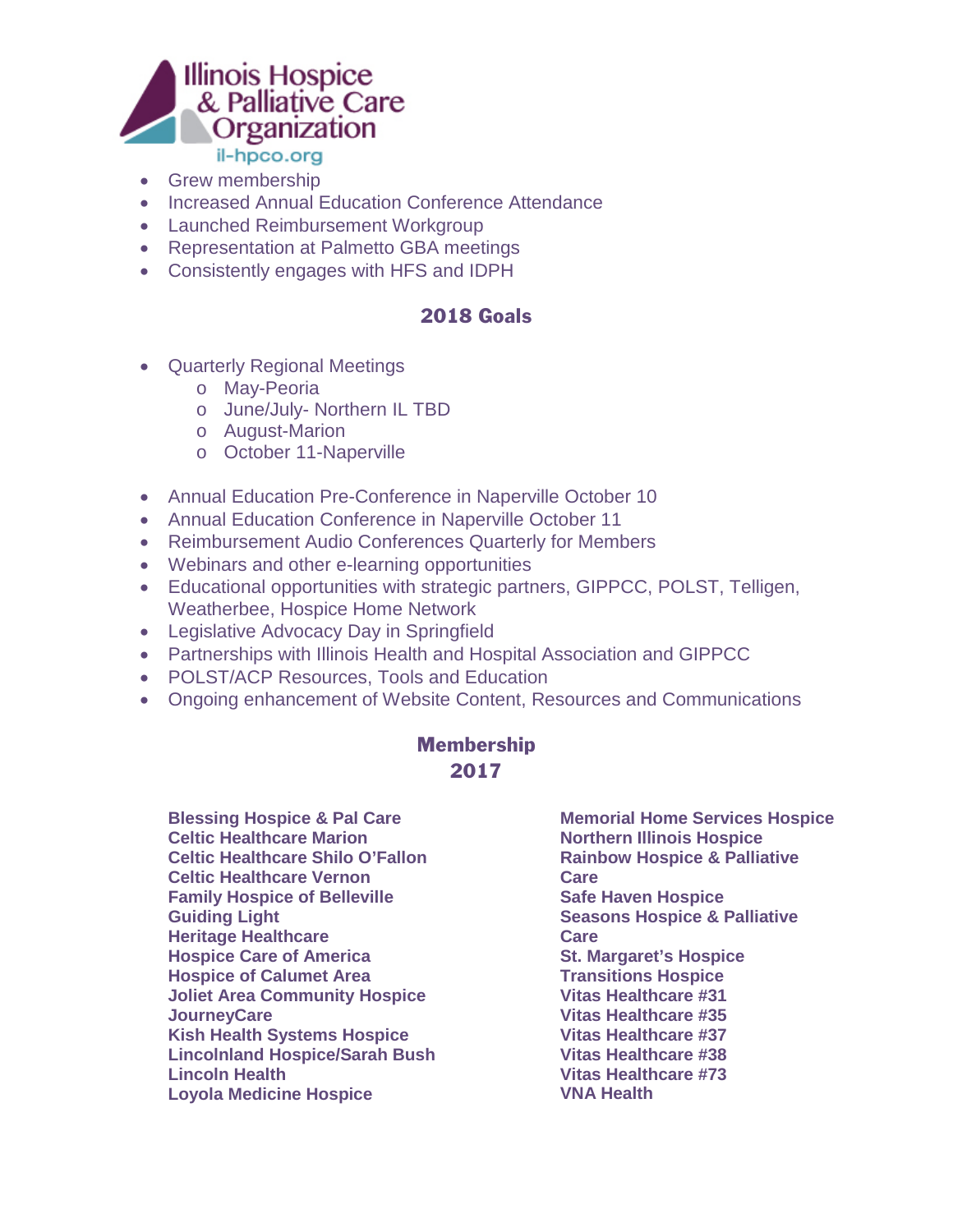

- Grew membership
- Increased Annual Education Conference Attendance
- Launched Reimbursement Workgroup
- Representation at Palmetto GBA meetings
- Consistently engages with HFS and IDPH

#### 2018 Goals

- Quarterly Regional Meetings
	- o May-Peoria
	- o June/July- Northern IL TBD
	- o August-Marion
	- o October 11-Naperville
- Annual Education Pre-Conference in Naperville October 10
- Annual Education Conference in Naperville October 11
- Reimbursement Audio Conferences Quarterly for Members
- Webinars and other e-learning opportunities
- Educational opportunities with strategic partners, GIPPCC, POLST, Telligen, Weatherbee, Hospice Home Network
- Legislative Advocacy Day in Springfield
- Partnerships with Illinois Health and Hospital Association and GIPPCC
- POLST/ACP Resources, Tools and Education
- Ongoing enhancement of Website Content, Resources and Communications

### Membership 2017

**Blessing Hospice & Pal Care Celtic Healthcare Marion Celtic Healthcare Shilo O'Fallon Celtic Healthcare Vernon Family Hospice of Belleville Guiding Light Heritage Healthcare Hospice Care of America Hospice of Calumet Area Joliet Area Community Hospice JourneyCare Kish Health Systems Hospice Lincolnland Hospice/Sarah Bush Lincoln Health Loyola Medicine Hospice**

**Memorial Home Services Hospice Northern Illinois Hospice Rainbow Hospice & Palliative Care Safe Haven Hospice Seasons Hospice & Palliative Care St. Margaret's Hospice Transitions Hospice Vitas Healthcare #31 Vitas Healthcare #35 Vitas Healthcare #37 Vitas Healthcare #38 Vitas Healthcare #73 VNA Health**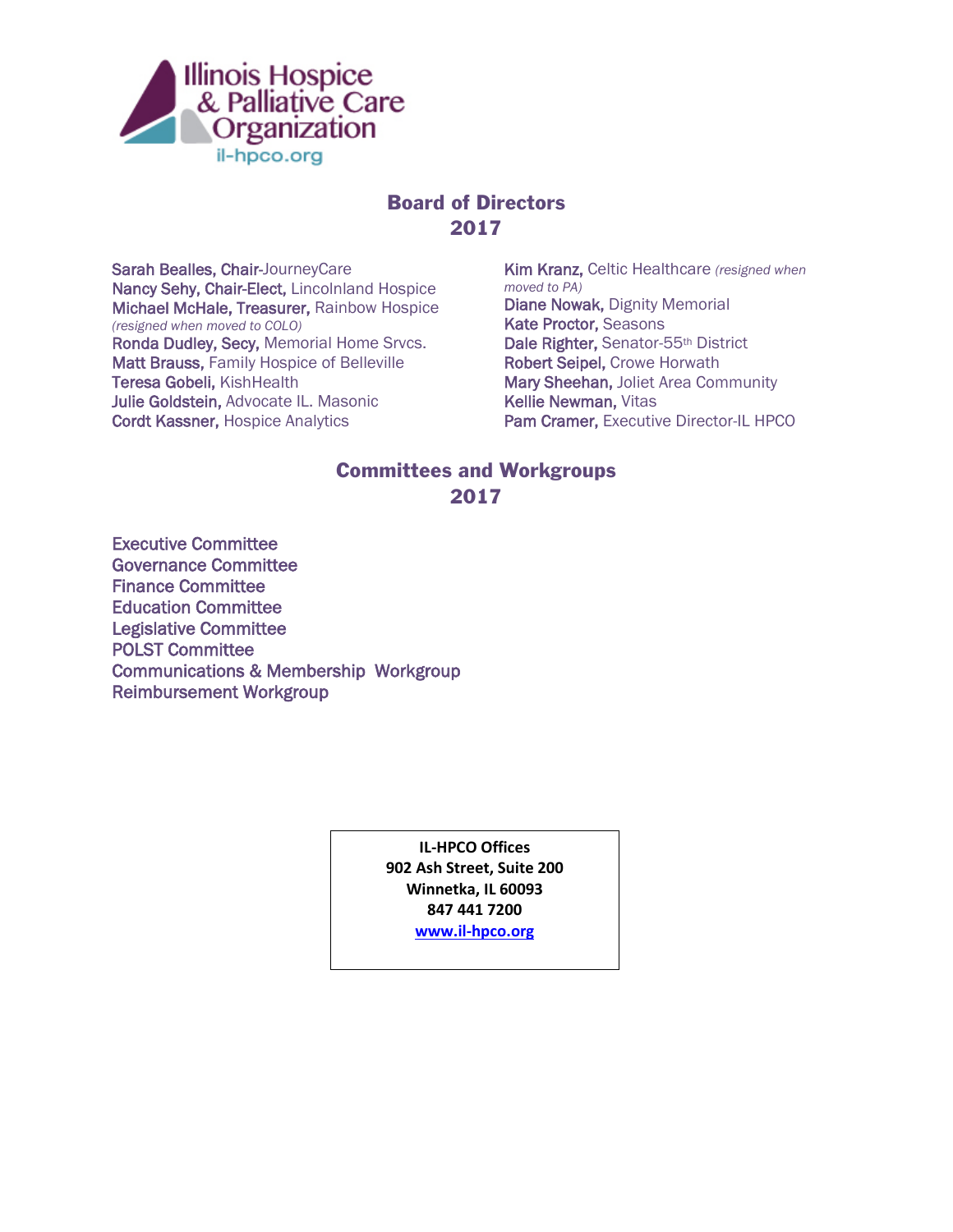

### Board of Directors 2017

Sarah Bealles, Chair-JourneyCare Nancy Sehy, Chair-Elect, Lincolnland Hospice Michael McHale, Treasurer, Rainbow Hospice *(resigned when moved to COLO)* Ronda Dudley, Secy, Memorial Home Srvcs. Matt Brauss, Family Hospice of Belleville Teresa Gobeli, KishHealth Julie Goldstein, Advocate IL. Masonic Cordt Kassner, Hospice Analytics

Kim Kranz, Celtic Healthcare *(resigned when moved to PA)* Diane Nowak, Dignity Memorial Kate Proctor, Seasons Dale Righter, Senator-55th District Robert Seipel, Crowe Horwath Mary Sheehan, Joliet Area Community Kellie Newman, Vitas Pam Cramer, Executive Director-IL HPCO

#### Committees and Workgroups 2017

Executive Committee Governance Committee Finance Committee Education Committee Legislative Committee POLST Committee Communications & Membership Workgroup Reimbursement Workgroup

> **IL-HPCO Offices** 902 Ash Street, Suite 200 **902 Ash Street, Suite 200** Winnetka, IL 60093 **Winnetka, IL 60093** 847 441 7200 **847 441 7200** [www.il-hpco.org](http://www.il-hpco.org/)  **[www.il-hpco.org](http://www.il-hpco.org/)**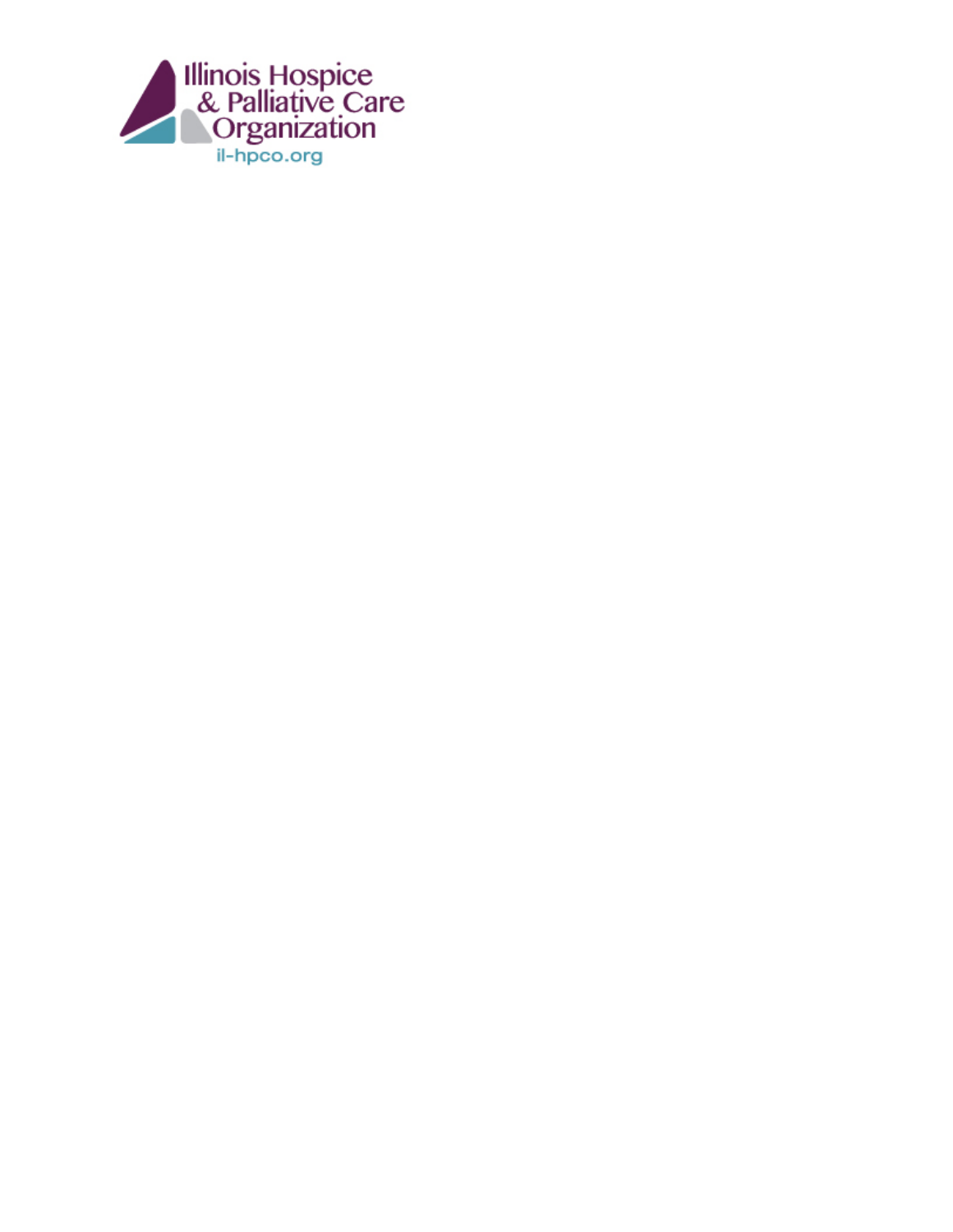